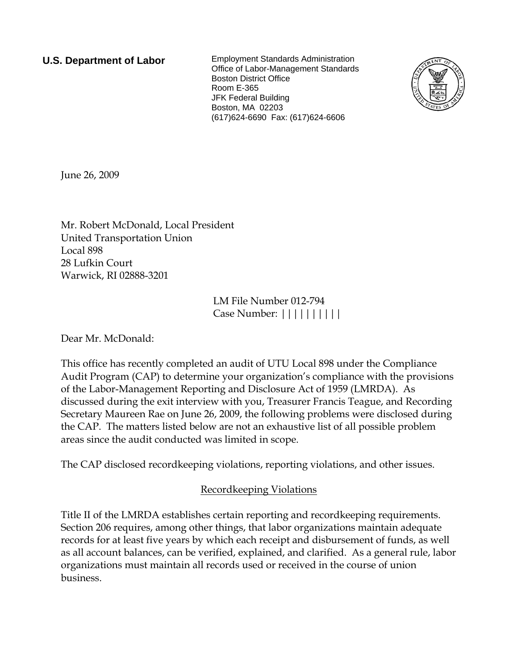**U.S. Department of Labor** Employment Standards Administration Office of Labor-Management Standards Boston District Office Room E-365 JFK Federal Building Boston, MA 02203 (617)624-6690 Fax: (617)624-6606



June 26, 2009

Mr. Robert McDonald, Local President United Transportation Union Local 898 28 Lufkin Court Warwick, RI 02888-3201

> LM File Number 012-794 Case Number: ||||||||||

Dear Mr. McDonald:

This office has recently completed an audit of UTU Local 898 under the Compliance Audit Program (CAP) to determine your organization's compliance with the provisions of the Labor-Management Reporting and Disclosure Act of 1959 (LMRDA). As discussed during the exit interview with you, Treasurer Francis Teague, and Recording Secretary Maureen Rae on June 26, 2009, the following problems were disclosed during the CAP. The matters listed below are not an exhaustive list of all possible problem areas since the audit conducted was limited in scope.

The CAP disclosed recordkeeping violations, reporting violations, and other issues.

# Recordkeeping Violations

Title II of the LMRDA establishes certain reporting and recordkeeping requirements. Section 206 requires, among other things, that labor organizations maintain adequate records for at least five years by which each receipt and disbursement of funds, as well as all account balances, can be verified, explained, and clarified. As a general rule, labor organizations must maintain all records used or received in the course of union business.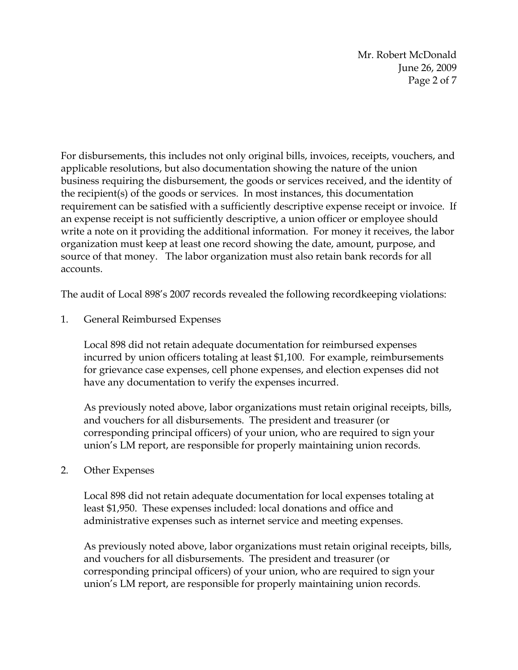Mr. Robert McDonald June 26, 2009 Page 2 of 7

For disbursements, this includes not only original bills, invoices, receipts, vouchers, and applicable resolutions, but also documentation showing the nature of the union business requiring the disbursement, the goods or services received, and the identity of the recipient(s) of the goods or services. In most instances, this documentation requirement can be satisfied with a sufficiently descriptive expense receipt or invoice. If an expense receipt is not sufficiently descriptive, a union officer or employee should write a note on it providing the additional information. For money it receives, the labor organization must keep at least one record showing the date, amount, purpose, and source of that money. The labor organization must also retain bank records for all accounts.

The audit of Local 898's 2007 records revealed the following recordkeeping violations:

1. General Reimbursed Expenses

Local 898 did not retain adequate documentation for reimbursed expenses incurred by union officers totaling at least \$1,100. For example, reimbursements for grievance case expenses, cell phone expenses, and election expenses did not have any documentation to verify the expenses incurred.

As previously noted above, labor organizations must retain original receipts, bills, and vouchers for all disbursements. The president and treasurer (or corresponding principal officers) of your union, who are required to sign your union's LM report, are responsible for properly maintaining union records.

## 2. Other Expenses

Local 898 did not retain adequate documentation for local expenses totaling at least \$1,950. These expenses included: local donations and office and administrative expenses such as internet service and meeting expenses.

As previously noted above, labor organizations must retain original receipts, bills, and vouchers for all disbursements. The president and treasurer (or corresponding principal officers) of your union, who are required to sign your union's LM report, are responsible for properly maintaining union records.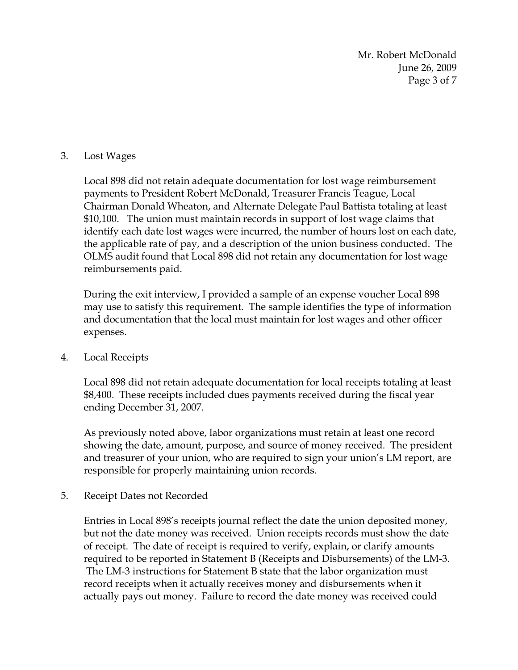Mr. Robert McDonald June 26, 2009 Page 3 of 7

## 3. Lost Wages

Local 898 did not retain adequate documentation for lost wage reimbursement payments to President Robert McDonald, Treasurer Francis Teague, Local Chairman Donald Wheaton, and Alternate Delegate Paul Battista totaling at least \$10,100. The union must maintain records in support of lost wage claims that identify each date lost wages were incurred, the number of hours lost on each date, the applicable rate of pay, and a description of the union business conducted. The OLMS audit found that Local 898 did not retain any documentation for lost wage reimbursements paid.

During the exit interview, I provided a sample of an expense voucher Local 898 may use to satisfy this requirement. The sample identifies the type of information and documentation that the local must maintain for lost wages and other officer expenses.

## 4. Local Receipts

Local 898 did not retain adequate documentation for local receipts totaling at least \$8,400. These receipts included dues payments received during the fiscal year ending December 31, 2007.

As previously noted above, labor organizations must retain at least one record showing the date, amount, purpose, and source of money received. The president and treasurer of your union, who are required to sign your union's LM report, are responsible for properly maintaining union records.

## 5. Receipt Dates not Recorded

Entries in Local 898's receipts journal reflect the date the union deposited money, but not the date money was received. Union receipts records must show the date of receipt. The date of receipt is required to verify, explain, or clarify amounts required to be reported in Statement B (Receipts and Disbursements) of the LM-3. The LM-3 instructions for Statement B state that the labor organization must record receipts when it actually receives money and disbursements when it actually pays out money. Failure to record the date money was received could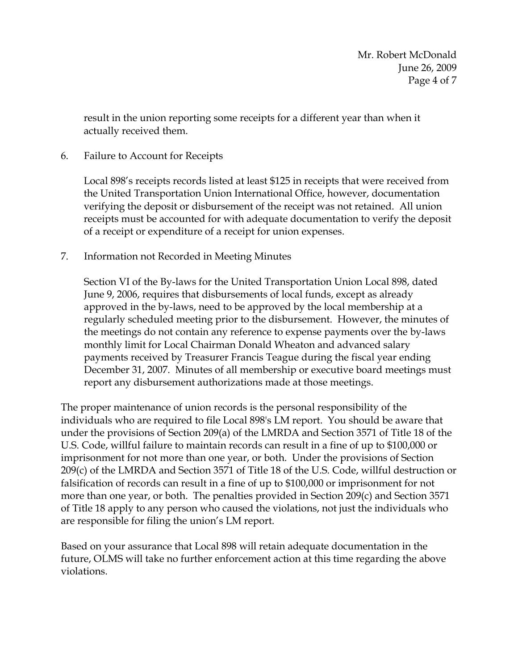result in the union reporting some receipts for a different year than when it actually received them.

6. Failure to Account for Receipts

Local 898's receipts records listed at least \$125 in receipts that were received from the United Transportation Union International Office, however, documentation verifying the deposit or disbursement of the receipt was not retained. All union receipts must be accounted for with adequate documentation to verify the deposit of a receipt or expenditure of a receipt for union expenses.

7. Information not Recorded in Meeting Minutes

Section VI of the By-laws for the United Transportation Union Local 898, dated June 9, 2006, requires that disbursements of local funds, except as already approved in the by-laws, need to be approved by the local membership at a regularly scheduled meeting prior to the disbursement. However, the minutes of the meetings do not contain any reference to expense payments over the by-laws monthly limit for Local Chairman Donald Wheaton and advanced salary payments received by Treasurer Francis Teague during the fiscal year ending December 31, 2007. Minutes of all membership or executive board meetings must report any disbursement authorizations made at those meetings.

The proper maintenance of union records is the personal responsibility of the individuals who are required to file Local 898's LM report. You should be aware that under the provisions of Section 209(a) of the LMRDA and Section 3571 of Title 18 of the U.S. Code, willful failure to maintain records can result in a fine of up to \$100,000 or imprisonment for not more than one year, or both. Under the provisions of Section 209(c) of the LMRDA and Section 3571 of Title 18 of the U.S. Code, willful destruction or falsification of records can result in a fine of up to \$100,000 or imprisonment for not more than one year, or both. The penalties provided in Section 209(c) and Section 3571 of Title 18 apply to any person who caused the violations, not just the individuals who are responsible for filing the union's LM report.

Based on your assurance that Local 898 will retain adequate documentation in the future, OLMS will take no further enforcement action at this time regarding the above violations.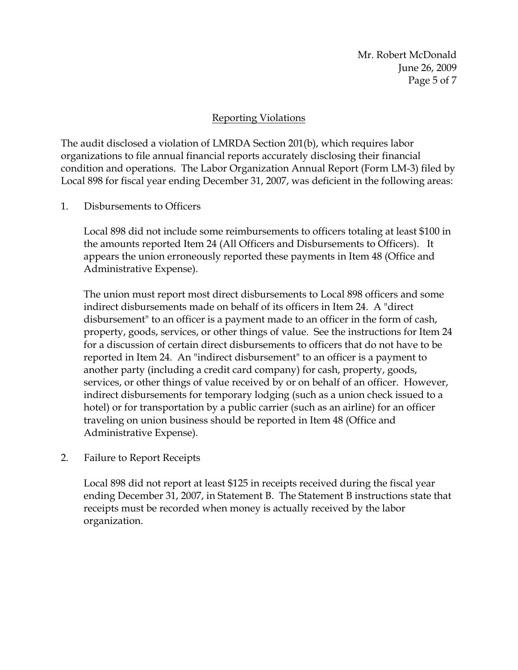Mr. Robert McDonald June 26, 2009 Page 5 of 7

## Reporting Violations

The audit disclosed a violation of LMRDA Section 201(b), which requires labor organizations to file annual financial reports accurately disclosing their financial condition and operations. The Labor Organization Annual Report (Form LM-3) filed by Local 898 for fiscal year ending December 31, 2007, was deficient in the following areas:

1. Disbursements to Officers

Local 898 did not include some reimbursements to officers totaling at least \$100 in the amounts reported Item 24 (All Officers and Disbursements to Officers). It appears the union erroneously reported these payments in Item 48 (Office and Administrative Expense).

The union must report most direct disbursements to Local 898 officers and some indirect disbursements made on behalf of its officers in Item 24. A "direct disbursement" to an officer is a payment made to an officer in the form of cash, property, goods, services, or other things of value. See the instructions for Item 24 for a discussion of certain direct disbursements to officers that do not have to be reported in Item 24. An "indirect disbursement" to an officer is a payment to another party (including a credit card company) for cash, property, goods, services, or other things of value received by or on behalf of an officer. However, indirect disbursements for temporary lodging (such as a union check issued to a hotel) or for transportation by a public carrier (such as an airline) for an officer traveling on union business should be reported in Item 48 (Office and Administrative Expense).

2. Failure to Report Receipts

Local 898 did not report at least \$125 in receipts received during the fiscal year ending December 31, 2007, in Statement B. The Statement B instructions state that receipts must be recorded when money is actually received by the labor organization.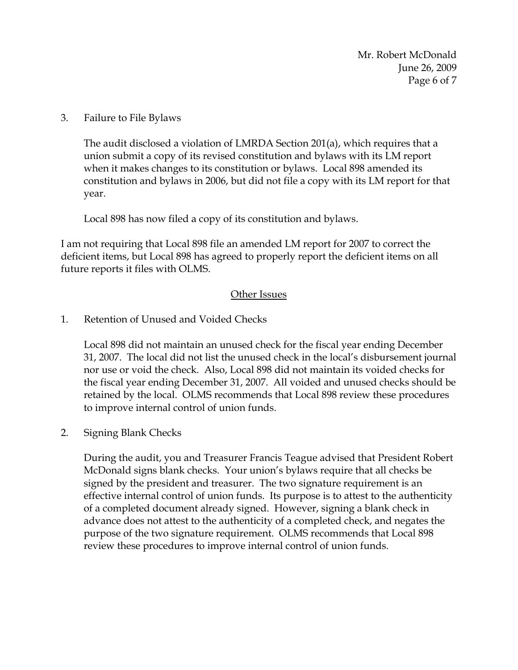Mr. Robert McDonald June 26, 2009 Page 6 of 7

3. Failure to File Bylaws

The audit disclosed a violation of LMRDA Section 201(a), which requires that a union submit a copy of its revised constitution and bylaws with its LM report when it makes changes to its constitution or bylaws. Local 898 amended its constitution and bylaws in 2006, but did not file a copy with its LM report for that year.

Local 898 has now filed a copy of its constitution and bylaws.

I am not requiring that Local 898 file an amended LM report for 2007 to correct the deficient items, but Local 898 has agreed to properly report the deficient items on all future reports it files with OLMS.

#### Other Issues

#### 1. Retention of Unused and Voided Checks

Local 898 did not maintain an unused check for the fiscal year ending December 31, 2007. The local did not list the unused check in the local's disbursement journal nor use or void the check. Also, Local 898 did not maintain its voided checks for the fiscal year ending December 31, 2007. All voided and unused checks should be retained by the local. OLMS recommends that Local 898 review these procedures to improve internal control of union funds.

## 2. Signing Blank Checks

During the audit, you and Treasurer Francis Teague advised that President Robert McDonald signs blank checks. Your union's bylaws require that all checks be signed by the president and treasurer. The two signature requirement is an effective internal control of union funds. Its purpose is to attest to the authenticity of a completed document already signed. However, signing a blank check in advance does not attest to the authenticity of a completed check, and negates the purpose of the two signature requirement. OLMS recommends that Local 898 review these procedures to improve internal control of union funds.